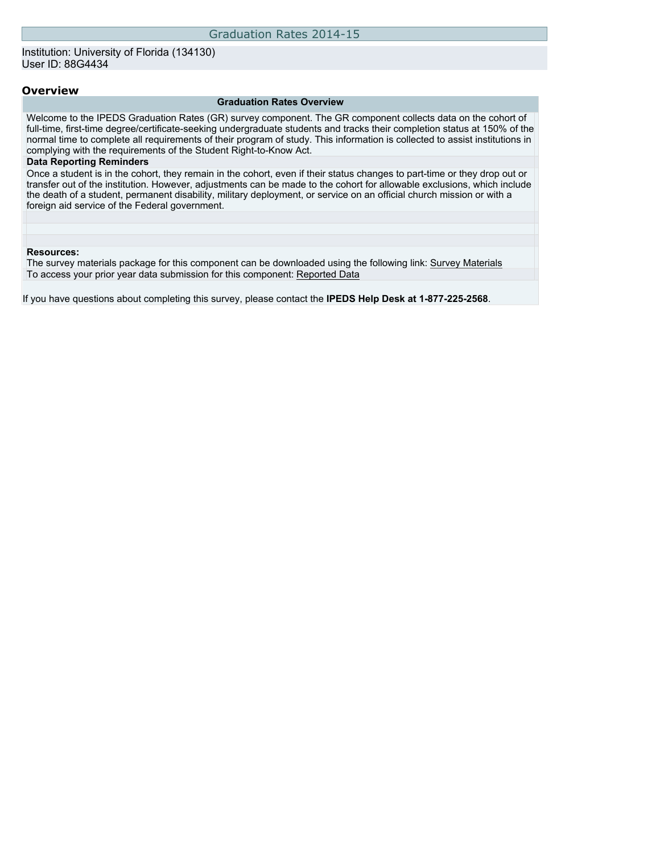### **Overview**

#### **Graduation Rates Overview**

Welcome to the IPEDS Graduation Rates (GR) survey component. The GR component collects data on the cohort of full-time, first-time degree/certificate-seeking undergraduate students and tracks their completion status at 150% of the normal time to complete all requirements of their program of study. This information is collected to assist institutions in complying with the requirements of the Student Right-to-Know Act.

#### **Data Reporting Reminders**

Once a student is in the cohort, they remain in the cohort, even if their status changes to part-time or they drop out or transfer out of the institution. However, adjustments can be made to the cohort for allowable exclusions, which include the death of a student, permanent disability, military deployment, or service on an official church mission or with a foreign aid service of the Federal government.

#### **Resources:**

The survey materials package for this component can be downloaded using the following link: [Survey Materials](https://surveys.nces.ed.gov/ipeds/VisIndex.aspx) To access your prior year data submission for this component: [Reported Data](https://surveys.nces.ed.gov/IPEDS/PriorYearDataRedirect.aspx?survey_id=4)

If you have questions about completing this survey, please contact the **IPEDS Help Desk at 1-877-225-2568**.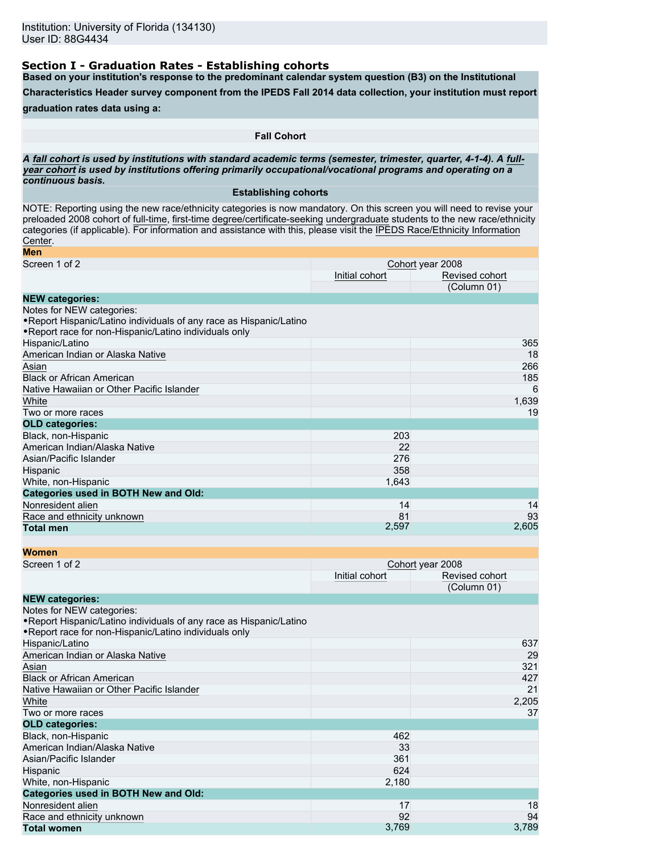### **Section I - Graduation Rates - Establishing cohorts**

**Based on your institution's response to the predominant calendar system question (B3) on the Institutional**

**Characteristics Header survey component from the IPEDS Fall 2014 data collection, your institution must report**

### **graduation rates data using a:**

**Fall Cohort**

*A* **fall cohort** *is used by institutions with standard academic terms (semester, trimester, quarter, 4-1-4). A* **fullyear cohort** *is used by institutions offering primarily occupational/vocational programs and operating on a continuous basis.*

### **Establishing cohorts**

NOTE: Reporting using the new race/ethnicity categories is now mandatory. On this screen you will need to revise your preloaded 2008 cohort of full-time, first-time degree/certificate-seeking undergraduate students to the new race/ethnicity categories (if applicable). For information and assistance with this, please visit the [IPEDS Race/Ethnicity Information](http://nces.ed.gov/ipeds/reic/resource.asp) [Center](http://nces.ed.gov/ipeds/reic/resource.asp).

| Men                                                                 |                |                  |
|---------------------------------------------------------------------|----------------|------------------|
| Screen 1 of 2                                                       |                | Cohort year 2008 |
|                                                                     | Initial cohort | Revised cohort   |
|                                                                     |                | (Column 01)      |
| <b>NEW categories:</b>                                              |                |                  |
| Notes for NEW categories:                                           |                |                  |
| • Report Hispanic/Latino individuals of any race as Hispanic/Latino |                |                  |
| . Report race for non-Hispanic/Latino individuals only              |                |                  |
| Hispanic/Latino                                                     |                | 365              |
| American Indian or Alaska Native                                    |                | 18               |
| Asian                                                               |                | 266              |
| <b>Black or African American</b>                                    |                | 185              |
| Native Hawaiian or Other Pacific Islander                           |                | 6                |
| White                                                               |                | 1,639            |
| Two or more races                                                   |                | 19               |
| <b>OLD categories:</b>                                              |                |                  |
| Black, non-Hispanic                                                 | 203            |                  |
| American Indian/Alaska Native                                       | 22             |                  |
| Asian/Pacific Islander                                              | 276            |                  |
| Hispanic                                                            | 358            |                  |
| White, non-Hispanic                                                 | 1,643          |                  |
| <b>Categories used in BOTH New and Old:</b>                         |                |                  |
| Nonresident alien                                                   | 14             | 14               |
| Race and ethnicity unknown                                          | 81             | 93               |
| <b>Total men</b>                                                    | 2,597          | 2,605            |

| <b>Women</b>                                                                                                                                               |                |                  |
|------------------------------------------------------------------------------------------------------------------------------------------------------------|----------------|------------------|
| Screen 1 of 2                                                                                                                                              |                | Cohort year 2008 |
|                                                                                                                                                            | Initial cohort | Revised cohort   |
|                                                                                                                                                            |                | (Column 01)      |
| <b>NEW categories:</b>                                                                                                                                     |                |                  |
| Notes for NEW categories:<br>. Report Hispanic/Latino individuals of any race as Hispanic/Latino<br>. Report race for non-Hispanic/Latino individuals only |                |                  |
| Hispanic/Latino                                                                                                                                            |                | 637              |
| American Indian or Alaska Native                                                                                                                           |                | 29               |
| Asian                                                                                                                                                      |                | 321              |
| <b>Black or African American</b>                                                                                                                           |                | 427              |
| Native Hawaiian or Other Pacific Islander                                                                                                                  |                | 21               |
| White                                                                                                                                                      |                | 2,205            |
| Two or more races                                                                                                                                          |                | 37               |
| <b>OLD categories:</b>                                                                                                                                     |                |                  |
| Black, non-Hispanic                                                                                                                                        | 462            |                  |
| American Indian/Alaska Native                                                                                                                              | 33             |                  |
| Asian/Pacific Islander                                                                                                                                     | 361            |                  |
| Hispanic                                                                                                                                                   | 624            |                  |
| White, non-Hispanic                                                                                                                                        | 2,180          |                  |
| <b>Categories used in BOTH New and Old:</b>                                                                                                                |                |                  |
| Nonresident alien                                                                                                                                          | 17             | 18               |
| Race and ethnicity unknown                                                                                                                                 | 92             | 94               |
| <b>Total women</b>                                                                                                                                         | 3,769          | 3,789            |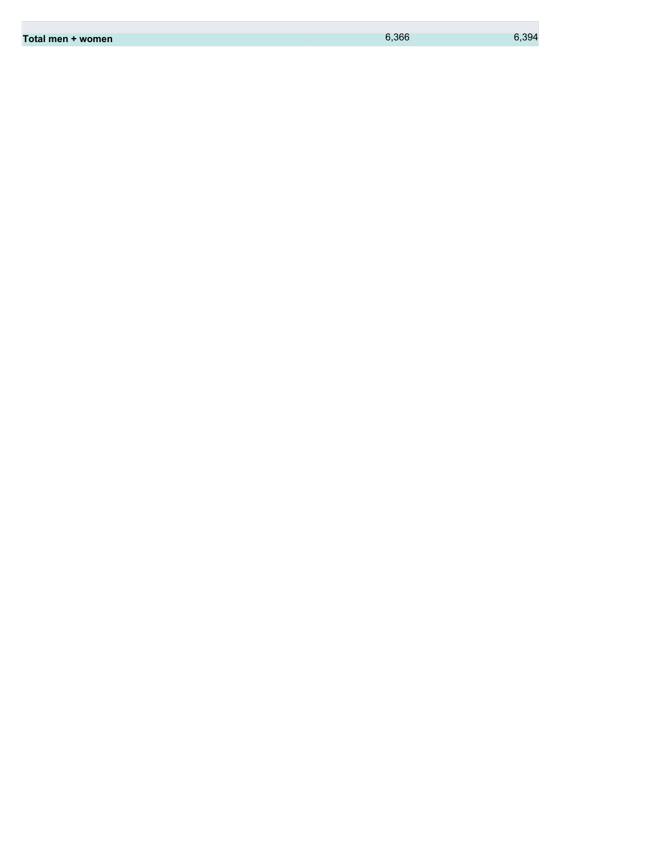| 6.366<br>Total men + women | 6.394 |
|----------------------------|-------|
|----------------------------|-------|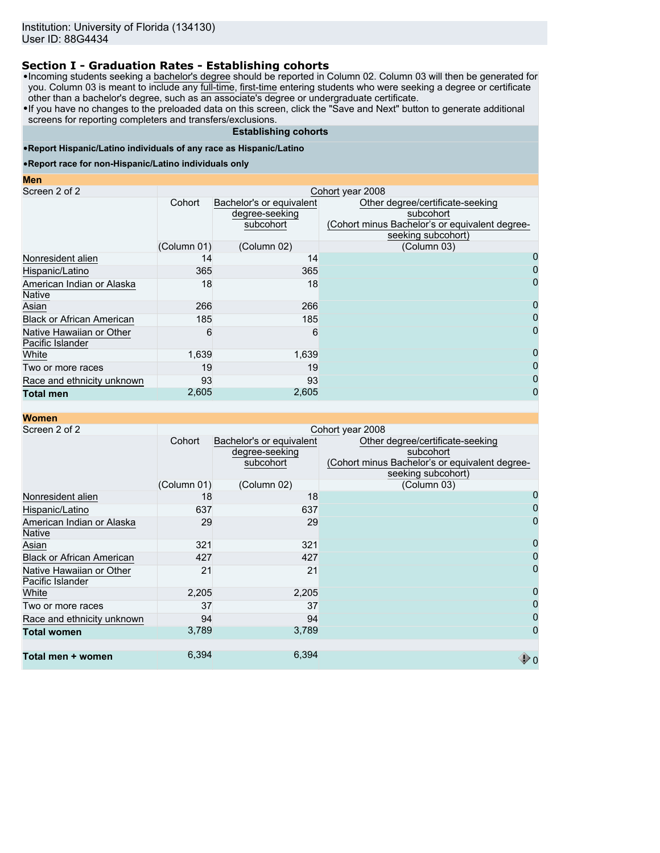## **Section I - Graduation Rates - Establishing cohorts**

•Incoming students seeking a bachelor's degree should be reported in Column 02. Column 03 will then be generated for you. Column 03 is meant to include any <u>full-time, first-time</u> entering students who were seeking a degree or certificate other than a bachelor's degree, such as an associate's degree or undergraduate certificate.

•If you have no changes to the preloaded data on this screen, click the "Save and Next" button to generate additional screens for reporting completers and transfers/exclusions.

#### **Establishing cohorts**

### •**Report Hispanic/Latino individuals of any race as Hispanic/Latino**

#### •**Report race for non-Hispanic/Latino individuals only**

#### **Men**

| Screen 2 of 2                                | Cohort year 2008 |                                                         |                                                                                                                       |  |  |
|----------------------------------------------|------------------|---------------------------------------------------------|-----------------------------------------------------------------------------------------------------------------------|--|--|
|                                              | Cohort           | Bachelor's or equivalent<br>degree-seeking<br>subcohort | Other degree/certificate-seeking<br>subcohort<br>(Cohort minus Bachelor's or equivalent degree-<br>seeking subcohort) |  |  |
|                                              | (Column 01)      | (Column 02)                                             | (Column 03)                                                                                                           |  |  |
| Nonresident alien                            | 14               | 14                                                      | 0                                                                                                                     |  |  |
| Hispanic/Latino                              | 365              | 365                                                     | 0                                                                                                                     |  |  |
| American Indian or Alaska<br><b>Native</b>   | 18               | 18                                                      | 0                                                                                                                     |  |  |
| Asian                                        | 266              | 266                                                     | 0                                                                                                                     |  |  |
| <b>Black or African American</b>             | 185              | 185                                                     | 0                                                                                                                     |  |  |
| Native Hawaiian or Other<br>Pacific Islander | 6                | 6                                                       |                                                                                                                       |  |  |
| White                                        | 1,639            | 1,639                                                   | 0                                                                                                                     |  |  |
| Two or more races                            | 19               | 19                                                      | 0                                                                                                                     |  |  |
| Race and ethnicity unknown                   | 93               | 93                                                      | 0                                                                                                                     |  |  |
| <b>Total men</b>                             | 2,605            | 2,605                                                   | 0                                                                                                                     |  |  |

| <b>Women</b>                                 |             |                                                         |                                                                                                                       |
|----------------------------------------------|-------------|---------------------------------------------------------|-----------------------------------------------------------------------------------------------------------------------|
| Screen 2 of 2                                |             |                                                         | Cohort year 2008                                                                                                      |
|                                              | Cohort      | Bachelor's or equivalent<br>degree-seeking<br>subcohort | Other degree/certificate-seeking<br>subcohort<br>(Cohort minus Bachelor's or equivalent degree-<br>seeking subcohort) |
|                                              | (Column 01) | (Column 02)                                             | (Column 03)                                                                                                           |
| Nonresident alien                            | 18          | 18                                                      |                                                                                                                       |
| Hispanic/Latino                              | 637         | 637                                                     |                                                                                                                       |
| American Indian or Alaska<br><b>Native</b>   | 29          | 29                                                      | 0                                                                                                                     |
| Asian                                        | 321         | 321                                                     | 0                                                                                                                     |
| <b>Black or African American</b>             | 427         | 427                                                     | 0                                                                                                                     |
| Native Hawaiian or Other<br>Pacific Islander | 21          | 21                                                      | 0                                                                                                                     |
| White                                        | 2,205       | 2,205                                                   | 0                                                                                                                     |
| Two or more races                            | 37          | 37                                                      | 0                                                                                                                     |
| Race and ethnicity unknown                   | 94          | 94                                                      | 0                                                                                                                     |
| <b>Total women</b>                           | 3,789       | 3,789                                                   | 0                                                                                                                     |
| Total men + women                            | 6,394       | 6,394                                                   |                                                                                                                       |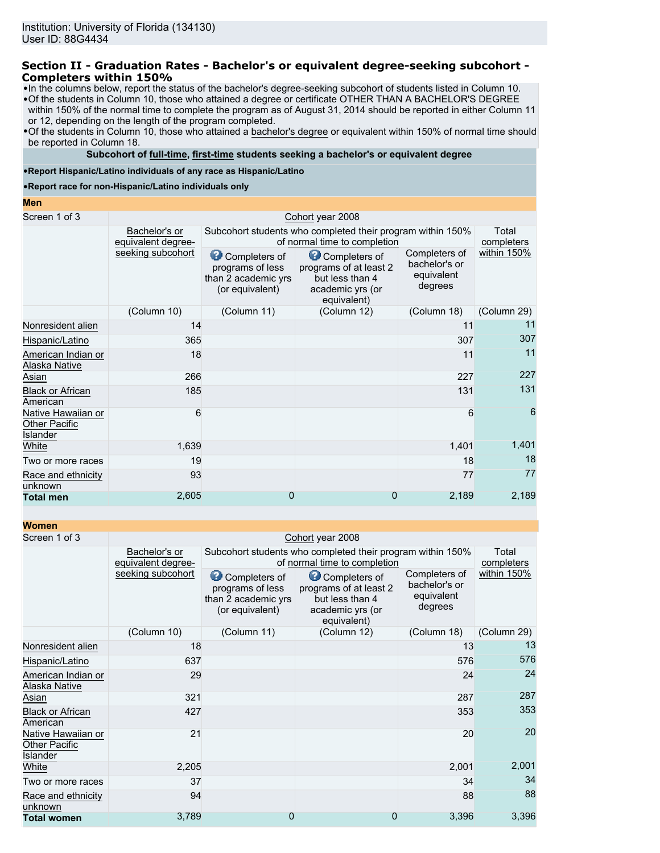### **Section II - Graduation Rates - Bachelor's or equivalent degree-seeking subcohort - Completers within 150%**

•In the columns below, report the status of the bachelor's degree-seeking subcohort of students listed in Column 10.

•Of the students in Column 10, those who attained a degree or certificate OTHER THAN A BACHELOR'S DEGREE within 150% of the normal time to complete the program as of August 31, 2014 should be reported in either Column 11 or 12, depending on the length of the program completed.

•Of the students in Column 10, those who attained a bachelor's degree or equivalent within 150% of normal time should be reported in Column 18.

### **Subcohort of full-time, first-time students seeking a bachelor's or equivalent degree**

•**Report Hispanic/Latino individuals of any race as Hispanic/Latino**

•**Report race for non-Hispanic/Latino individuals only**

#### **Men**

| Screen 1 of 3                                          |                                     |                                                                             | Cohort year 2008                                                                              |                                                         |                     |
|--------------------------------------------------------|-------------------------------------|-----------------------------------------------------------------------------|-----------------------------------------------------------------------------------------------|---------------------------------------------------------|---------------------|
|                                                        | Bachelor's or<br>equivalent degree- |                                                                             | Subcohort students who completed their program within 150%<br>of normal time to completion    |                                                         | Total<br>completers |
|                                                        | seeking subcohort                   | Completers of<br>programs of less<br>than 2 academic yrs<br>(or equivalent) | Completers of<br>programs of at least 2<br>but less than 4<br>academic yrs (or<br>equivalent) | Completers of<br>bachelor's or<br>equivalent<br>degrees | within 150%         |
|                                                        | (Column 10)                         | (Column 12)<br>(Column 29)<br>(Column 11)<br>(Column 18)                    |                                                                                               |                                                         |                     |
| Nonresident alien                                      | 14                                  |                                                                             |                                                                                               | 11                                                      | 11                  |
| Hispanic/Latino                                        | 365                                 |                                                                             |                                                                                               | 307                                                     | 307                 |
| American Indian or<br>Alaska Native                    | 18                                  |                                                                             |                                                                                               | 11                                                      | 11                  |
| Asian                                                  | 266                                 |                                                                             |                                                                                               | 227                                                     | 227                 |
| <b>Black or African</b><br>American                    | 185                                 |                                                                             |                                                                                               | 131                                                     | 131                 |
| Native Hawaiian or<br><b>Other Pacific</b><br>Islander | 6                                   |                                                                             |                                                                                               | 6                                                       | 6                   |
| White                                                  | 1,639                               |                                                                             |                                                                                               | 1,401                                                   | 1,401               |
| Two or more races                                      | 19                                  |                                                                             |                                                                                               | 18                                                      | 18                  |
| Race and ethnicity<br>unknown                          | 93                                  |                                                                             |                                                                                               | 77                                                      | 77                  |
| <b>Total men</b>                                       | 2,605                               | 0                                                                           | 0                                                                                             | 2,189                                                   | 2,189               |

| <b>Women</b>                                           |                                     |                                                                             |                                                                                               |                                                         |                     |  |  |
|--------------------------------------------------------|-------------------------------------|-----------------------------------------------------------------------------|-----------------------------------------------------------------------------------------------|---------------------------------------------------------|---------------------|--|--|
| Screen 1 of 3                                          | Cohort year 2008                    |                                                                             |                                                                                               |                                                         |                     |  |  |
|                                                        | Bachelor's or<br>equivalent degree- |                                                                             | Subcohort students who completed their program within 150%<br>of normal time to completion    |                                                         | Total<br>completers |  |  |
|                                                        | seeking subcohort                   | Completers of<br>programs of less<br>than 2 academic yrs<br>(or equivalent) | Completers of<br>programs of at least 2<br>but less than 4<br>academic yrs (or<br>equivalent) | Completers of<br>bachelor's or<br>equivalent<br>degrees | within 150%         |  |  |
|                                                        | (Column 10)                         | (Column 11)                                                                 | (Column 12)                                                                                   | (Column 18)                                             | (Column 29)         |  |  |
| Nonresident alien                                      | 18                                  |                                                                             |                                                                                               | 13                                                      | 13                  |  |  |
| Hispanic/Latino                                        | 637                                 |                                                                             |                                                                                               | 576                                                     | 576                 |  |  |
| American Indian or<br>Alaska Native                    | 29                                  |                                                                             |                                                                                               | 24                                                      | 24                  |  |  |
| Asian                                                  | 321                                 |                                                                             |                                                                                               | 287                                                     | 287                 |  |  |
| <b>Black or African</b><br>American                    | 427                                 |                                                                             |                                                                                               | 353                                                     | 353                 |  |  |
| Native Hawaiian or<br><b>Other Pacific</b><br>Islander | 21                                  |                                                                             |                                                                                               | 20                                                      | 20                  |  |  |
| White                                                  | 2,205                               |                                                                             |                                                                                               | 2,001                                                   | 2,001               |  |  |
| Two or more races                                      | 37                                  |                                                                             |                                                                                               | 34                                                      | 34                  |  |  |
| Race and ethnicity<br>unknown                          | 94                                  |                                                                             |                                                                                               | 88                                                      | 88                  |  |  |
| <b>Total women</b>                                     | 3,789                               | 0                                                                           | 0                                                                                             | 3,396                                                   | 3,396               |  |  |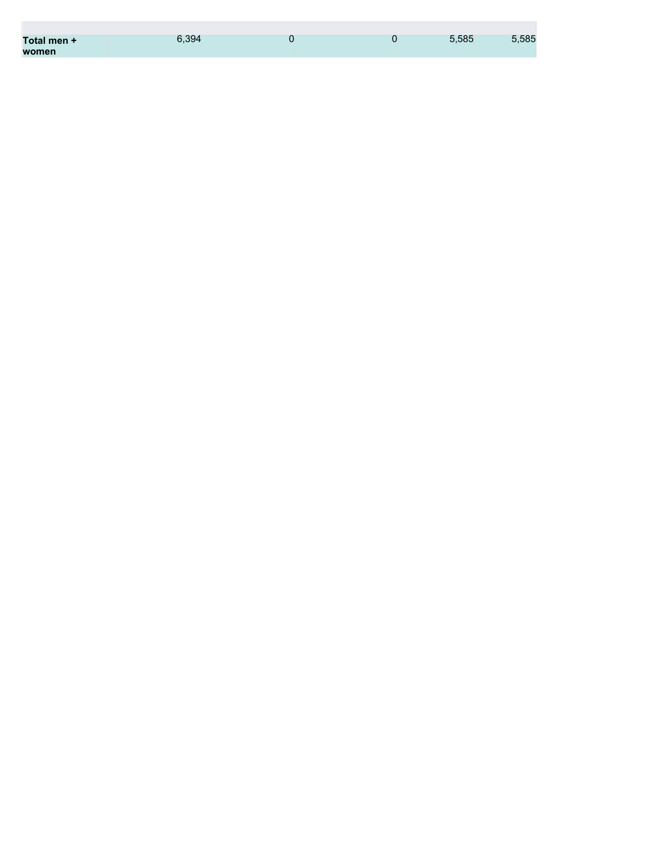| Total men + | 6.394 | O | 5.585 | 5,585 |
|-------------|-------|---|-------|-------|
| women       |       |   |       |       |

**College**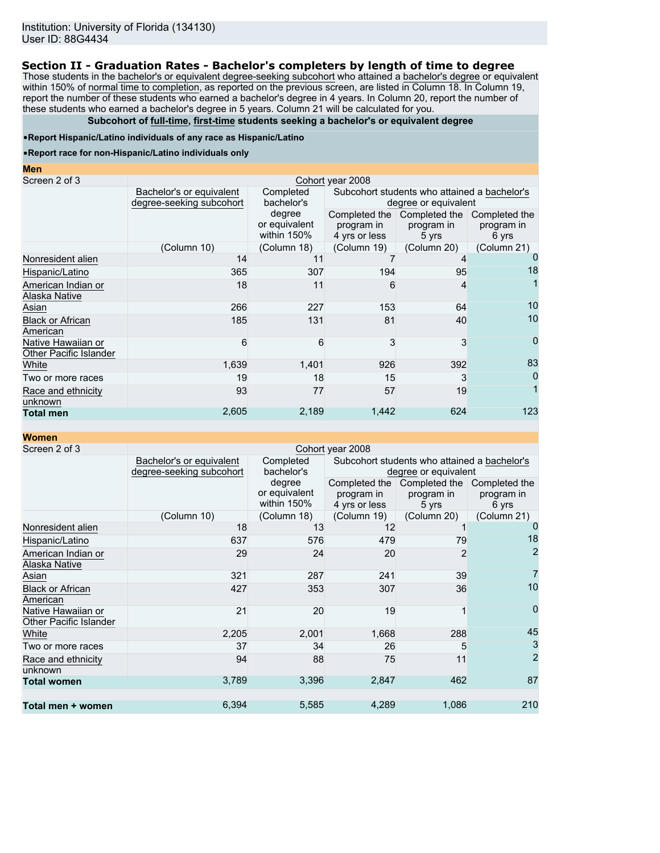### **Section II - Graduation Rates - Bachelor's completers by length of time to degree**

Those students in the bachelor's or equivalent degree-seeking subcohort who attained a bachelor's degree or equivalent within 150% of normal time to completion, as reported on the previous screen, are listed in Column 18. In Column 19, report the number of these students who earned a bachelor's degree in 4 years. In Column 20, report the number of these students who earned a bachelor's degree in 5 years. Column 21 will be calculated for you.

### **Subcohort of full-time, first-time students seeking a bachelor's or equivalent degree**

#### •**Report Hispanic/Latino individuals of any race as Hispanic/Latino**

#### •**Report race for non-Hispanic/Latino individuals only**

| <b>Men</b>                                   |                                                      |                                        |                                                                      |                                      |                                      |  |  |
|----------------------------------------------|------------------------------------------------------|----------------------------------------|----------------------------------------------------------------------|--------------------------------------|--------------------------------------|--|--|
| Screen 2 of 3                                | Cohort year 2008                                     |                                        |                                                                      |                                      |                                      |  |  |
|                                              | Bachelor's or equivalent<br>degree-seeking subcohort | Completed<br>bachelor's                | Subcohort students who attained a bachelor's<br>degree or equivalent |                                      |                                      |  |  |
|                                              |                                                      | degree<br>or equivalent<br>within 150% | Completed the<br>program in<br>4 yrs or less                         | Completed the<br>program in<br>5 yrs | Completed the<br>program in<br>6 yrs |  |  |
|                                              | (Column 10)                                          | (Column 18)                            | (Column 19)                                                          | (Column 20)                          | (Column 21)                          |  |  |
| Nonresident alien                            | 14                                                   | 11                                     |                                                                      |                                      |                                      |  |  |
| Hispanic/Latino                              | 365                                                  | 307                                    | 194                                                                  | 95                                   | 18                                   |  |  |
| American Indian or<br>Alaska Native          | 18                                                   | 11                                     | 6                                                                    | 4                                    |                                      |  |  |
| Asian                                        | 266                                                  | 227                                    | 153                                                                  | 64                                   | 10                                   |  |  |
| <b>Black or African</b><br>American          | 185                                                  | 131                                    | 81                                                                   | 40                                   | 10                                   |  |  |
| Native Hawaiian or<br>Other Pacific Islander | 6                                                    | 6                                      | 3                                                                    | 3                                    | 0                                    |  |  |
| White                                        | 1,639                                                | 1,401                                  | 926                                                                  | 392                                  | 83                                   |  |  |
| Two or more races                            | 19                                                   | 18                                     | 15                                                                   | 3                                    | 0                                    |  |  |
| Race and ethnicity<br>unknown                | 93                                                   | 77                                     | 57                                                                   | 19                                   |                                      |  |  |
| <b>Total men</b>                             | 2,605                                                | 2,189                                  | 1,442                                                                | 624                                  | 123                                  |  |  |

**Women**

| Screen 2 of 3                                |                                                      |                                        | Cohort year 2008            |                                                                      |                                      |
|----------------------------------------------|------------------------------------------------------|----------------------------------------|-----------------------------|----------------------------------------------------------------------|--------------------------------------|
|                                              | Bachelor's or equivalent<br>degree-seeking subcohort | Completed<br>bachelor's                |                             | Subcohort students who attained a bachelor's<br>degree or equivalent |                                      |
|                                              |                                                      | degree<br>or equivalent<br>within 150% | program in<br>4 yrs or less | Completed the Completed the<br>program in<br>5 yrs                   | Completed the<br>program in<br>6 yrs |
|                                              | (Column 10)                                          | (Column 18)                            | (Column 19)                 | (Column 20)                                                          | (Column 21)                          |
| Nonresident alien                            | 18                                                   | 13                                     | 12                          |                                                                      | 0                                    |
| Hispanic/Latino                              | 637                                                  | 576                                    | 479                         | 79                                                                   | 18                                   |
| American Indian or<br>Alaska Native          | 29                                                   | 24                                     | 20                          | 2                                                                    | $\overline{2}$                       |
| Asian                                        | 321                                                  | 287                                    | 241                         | 39                                                                   | 7                                    |
| <b>Black or African</b><br>American          | 427                                                  | 353                                    | 307                         | 36                                                                   | 10                                   |
| Native Hawaiian or<br>Other Pacific Islander | 21                                                   | 20                                     | 19                          |                                                                      | $\overline{0}$                       |
| White                                        | 2,205                                                | 2,001                                  | 1,668                       | 288                                                                  | 45                                   |
| Two or more races                            | 37                                                   | 34                                     | 26                          | 5                                                                    | $\mathbf{3}$                         |
| Race and ethnicity<br>unknown                | 94                                                   | 88                                     | 75                          | 11                                                                   | $\overline{2}$                       |
| <b>Total women</b>                           | 3,789                                                | 3,396                                  | 2,847                       | 462                                                                  | 87                                   |
| Total men + women                            | 6,394                                                | 5,585                                  | 4,289                       | 1,086                                                                | 210                                  |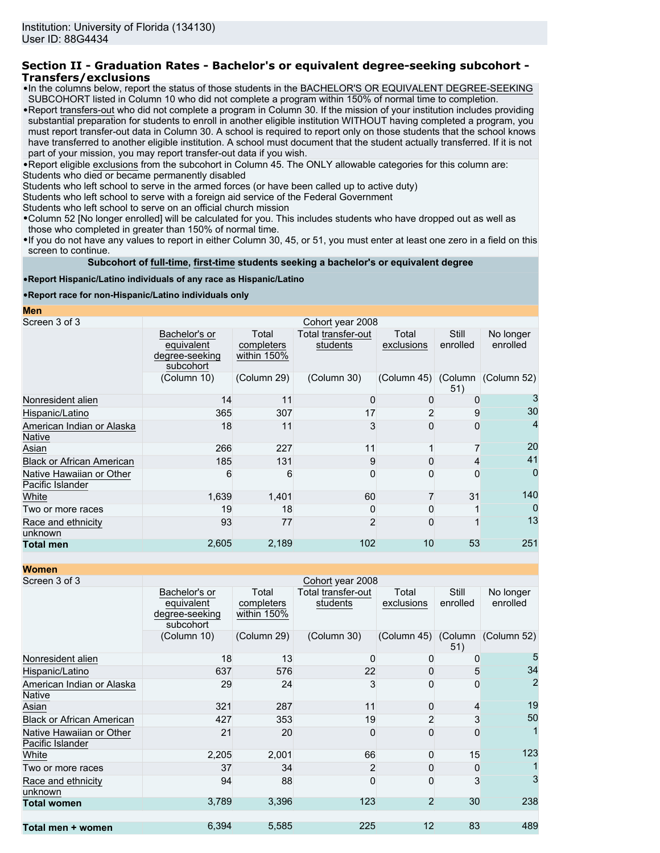### **Section II - Graduation Rates - Bachelor's or equivalent degree-seeking subcohort - Transfers/exclusions**

- •In the columns below, report the status of those students in the BACHELOR'S OR EQUIVALENT DEGREE-SEEKING SUBCOHORT listed in Column 10 who did not complete a program within 150% of normal time to completion.
- •Report transfers-out who did not complete a program in Column 30. If the mission of your institution includes providing substantial preparation for students to enroll in another eligible institution WITHOUT having completed a program, you must report transfer-out data in Column 30. A school is required to report only on those students that the school knows have transferred to another eligible institution. A school must document that the student actually transferred. If it is not part of your mission, you may report transfer-out data if you wish.

•Report eligible exclusions from the subcohort in Column 45. The ONLY allowable categories for this column are:

Students who died or became permanently disabled

Students who left school to serve in the armed forces (or have been called up to active duty)

Students who left school to serve with a foreign aid service of the Federal Government

Students who left school to serve on an official church mission

•Column 52 [No longer enrolled] will be calculated for you. This includes students who have dropped out as well as those who completed in greater than 150% of normal time.

•If you do not have any values to report in either Column 30, 45, or 51, you must enter at least one zero in a field on this screen to continue.

**Subcohort of full-time, first-time students seeking a bachelor's or equivalent degree**

### •**Report Hispanic/Latino individuals of any race as Hispanic/Latino**

#### •**Report race for non-Hispanic/Latino individuals only**

**Men**

| Screen 3 of 3                                |                                                            |                                    | Cohort year 2008               |                     |                   |                       |
|----------------------------------------------|------------------------------------------------------------|------------------------------------|--------------------------------|---------------------|-------------------|-----------------------|
|                                              | Bachelor's or<br>equivalent<br>degree-seeking<br>subcohort | Total<br>completers<br>within 150% | Total transfer-out<br>students | Total<br>exclusions | Still<br>enrolled | No longer<br>enrolled |
|                                              | (Column 10)                                                | (Column 29)                        | (Column 30)                    | (Column 45) (Column | 51)               | (Column 52)           |
| Nonresident alien                            | 14                                                         | 11                                 |                                | 0                   |                   |                       |
| Hispanic/Latino                              | 365                                                        | 307                                | 17                             |                     | 9                 | 30                    |
| American Indian or Alaska<br>Native          | 18                                                         | 11                                 | 3                              | ი                   | 0                 | 4                     |
| Asian                                        | 266                                                        | 227                                | 11                             |                     |                   | 20                    |
| <b>Black or African American</b>             | 185                                                        | 131                                | 9                              | O                   | 4                 | 41                    |
| Native Hawaiian or Other<br>Pacific Islander | 6                                                          | 6                                  | 0                              |                     | $\Omega$          | $\Omega$              |
| White                                        | 1,639                                                      | 1,401                              | 60                             |                     | 31                | 140                   |
| Two or more races                            | 19                                                         | 18                                 | 0                              |                     |                   | $\Omega$              |
| Race and ethnicity<br>unknown                | 93                                                         | 77                                 | $\overline{2}$                 | 0                   |                   | 13                    |
| <b>Total men</b>                             | 2,605                                                      | 2,189                              | 102                            | 10                  | 53                | 251                   |
|                                              |                                                            |                                    |                                |                     |                   |                       |

**Women**

| ,,,,,,,,,                                    |                                                            |                                    |                                |                     |                   |                       |
|----------------------------------------------|------------------------------------------------------------|------------------------------------|--------------------------------|---------------------|-------------------|-----------------------|
| Screen 3 of 3                                |                                                            |                                    | Cohort year 2008               |                     |                   |                       |
|                                              | Bachelor's or<br>equivalent<br>degree-seeking<br>subcohort | Total<br>completers<br>within 150% | Total transfer-out<br>students | Total<br>exclusions | Still<br>enrolled | No longer<br>enrolled |
|                                              | (Column 10)                                                | (Column 29)                        | (Column 30)                    | (Column 45) (Column | 51)               | (Column 52)           |
| Nonresident alien                            | 18                                                         | 13                                 | 0                              | 0                   | ŋ                 | 5                     |
| Hispanic/Latino                              | 637                                                        | 576                                | 22                             | 0                   | 5                 | 34                    |
| American Indian or Alaska<br>Native          | 29                                                         | 24                                 | 3                              | 0                   | 0                 | $\overline{2}$        |
| Asian                                        | 321                                                        | 287                                | 11                             | 0                   | 4                 | 19                    |
| <b>Black or African American</b>             | 427                                                        | 353                                | 19                             | 2                   | 3                 | 50                    |
| Native Hawaiian or Other<br>Pacific Islander | 21                                                         | 20                                 | 0                              | O                   | $\Omega$          |                       |
| White                                        | 2,205                                                      | 2,001                              | 66                             | 0                   | 15                | 123                   |
| Two or more races                            | 37                                                         | 34                                 | $\overline{2}$                 | 0                   | 0                 |                       |
| Race and ethnicity<br>unknown                | 94                                                         | 88                                 | 0                              | 0                   | 3                 | 3                     |
| <b>Total women</b>                           | 3,789                                                      | 3,396                              | 123                            | $\overline{2}$      | 30                | 238                   |
| Total men + women                            | 6,394                                                      | 5,585                              | 225                            | 12                  | 83                | 489                   |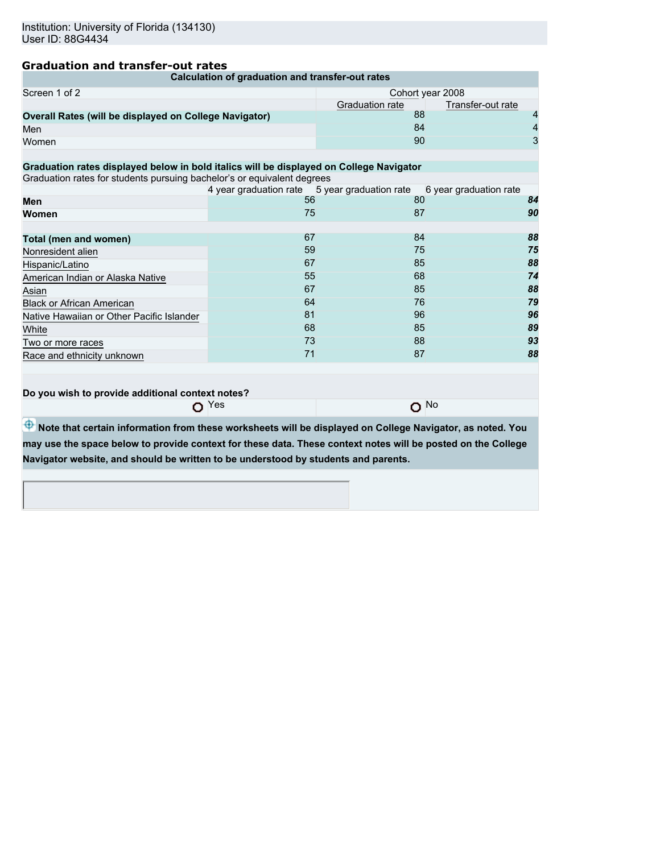# **Graduation and transfer-out rates**

| Calculation of graduation and transfer-out rates                                                             |                                                                      |                 |                   |    |  |
|--------------------------------------------------------------------------------------------------------------|----------------------------------------------------------------------|-----------------|-------------------|----|--|
| Screen 1 of 2                                                                                                | Cohort year 2008                                                     |                 |                   |    |  |
|                                                                                                              |                                                                      | Graduation rate | Transfer-out rate |    |  |
| Overall Rates (will be displayed on College Navigator)                                                       |                                                                      | 88              |                   | 4  |  |
| Men                                                                                                          |                                                                      | 84              |                   | 4  |  |
| Women                                                                                                        |                                                                      | 90              |                   | 3  |  |
|                                                                                                              |                                                                      |                 |                   |    |  |
| Graduation rates displayed below in bold italics will be displayed on College Navigator                      |                                                                      |                 |                   |    |  |
| Graduation rates for students pursuing bachelor's or equivalent degrees                                      |                                                                      |                 |                   |    |  |
|                                                                                                              | 4 year graduation rate 5 year graduation rate 6 year graduation rate |                 |                   |    |  |
| Men                                                                                                          | 56                                                                   | 80              |                   | 84 |  |
| Women                                                                                                        | 75                                                                   | 87              |                   | 90 |  |
|                                                                                                              | 67                                                                   | 84              |                   | 88 |  |
| Total (men and women)                                                                                        |                                                                      |                 |                   |    |  |
| Nonresident alien                                                                                            | 59                                                                   | 75              |                   | 75 |  |
| Hispanic/Latino                                                                                              | 67                                                                   | 85              |                   | 88 |  |
| American Indian or Alaska Native                                                                             | 55                                                                   | 68              |                   | 74 |  |
| Asian                                                                                                        | 67                                                                   | 85              |                   | 88 |  |
| <b>Black or African American</b>                                                                             | 64                                                                   | 76              |                   | 79 |  |
| Native Hawaiian or Other Pacific Islander                                                                    | 81                                                                   | 96              |                   | 96 |  |
| White                                                                                                        | 68                                                                   | 85              |                   | 89 |  |
| Two or more races                                                                                            | 73                                                                   | 88              |                   | 93 |  |
| Race and ethnicity unknown                                                                                   | 71                                                                   | 87              |                   | 88 |  |
| Do you wish to provide additional context notes?<br>$O$ No<br>$\Omega$ Yes                                   |                                                                      |                 |                   |    |  |
|                                                                                                              |                                                                      |                 |                   |    |  |
| Note that certain information from these worksheets will be displayed on College Navigator, as noted. You    |                                                                      |                 |                   |    |  |
| may use the space below to provide context for these data. These context notes will be posted on the College |                                                                      |                 |                   |    |  |
| Navigator website, and should be written to be understood by students and parents.                           |                                                                      |                 |                   |    |  |
|                                                                                                              |                                                                      |                 |                   |    |  |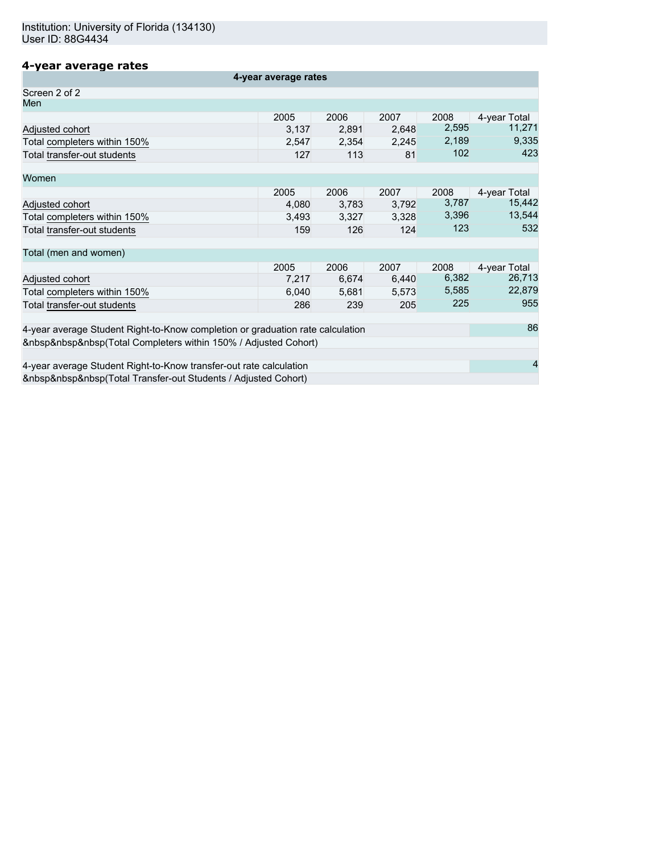# **4-year average rates**

| 4-year average rates                                                           |       |       |       |       |                        |
|--------------------------------------------------------------------------------|-------|-------|-------|-------|------------------------|
| Screen 2 of 2                                                                  |       |       |       |       |                        |
| Men                                                                            |       |       |       |       |                        |
|                                                                                | 2005  | 2006  | 2007  | 2008  | 4-year Total           |
| Adjusted cohort                                                                | 3,137 | 2,891 | 2,648 | 2,595 | 11,271                 |
| Total completers within 150%                                                   | 2,547 | 2,354 | 2,245 | 2,189 | 9,335                  |
| Total transfer-out students                                                    | 127   | 113   | 81    | 102   | 423                    |
| Women                                                                          |       |       |       |       |                        |
|                                                                                | 2005  | 2006  | 2007  | 2008  |                        |
| Adjusted cohort                                                                | 4,080 | 3,783 | 3,792 | 3,787 | 4-year Total<br>15,442 |
| Total completers within 150%                                                   | 3,493 | 3,327 | 3,328 | 3,396 | 13,544                 |
| Total transfer-out students                                                    | 159   | 126   | 124   | 123   | 532                    |
|                                                                                |       |       |       |       |                        |
| Total (men and women)                                                          |       |       |       |       |                        |
|                                                                                | 2005  | 2006  | 2007  | 2008  | 4-year Total           |
| Adjusted cohort                                                                | 7,217 | 6,674 | 6,440 | 6,382 | 26,713                 |
| Total completers within 150%                                                   | 6,040 | 5,681 | 5,573 | 5,585 | 22,879                 |
| Total transfer-out students                                                    | 286   | 239   | 205   | 225   | 955                    |
|                                                                                |       |       |       |       |                        |
| 4-year average Student Right-to-Know completion or graduation rate calculation |       |       |       |       | 86                     |
| (Total Completers within 150% / Adjusted Cohort)                               |       |       |       |       |                        |
| 4-year average Student Right-to-Know transfer-out rate calculation             |       |       |       | 4     |                        |
| (Total Transfer-out Students / Adjusted Cohort)                                |       |       |       |       |                        |
|                                                                                |       |       |       |       |                        |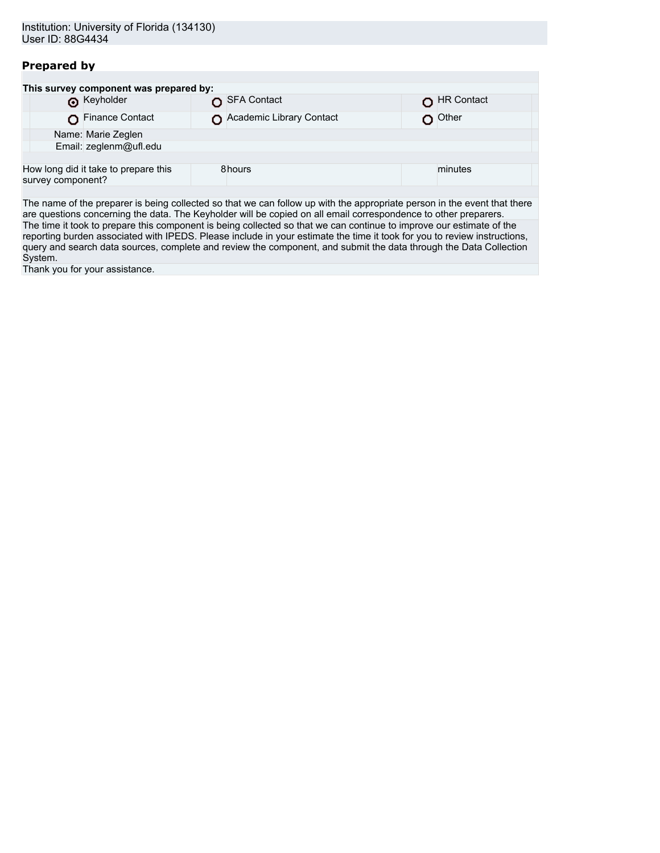# **Prepared by**

| This survey component was prepared by:                    |                          |            |  |  |  |
|-----------------------------------------------------------|--------------------------|------------|--|--|--|
| <b>O</b> Keyholder                                        | SFA Contact              | HR Contact |  |  |  |
| Finance Contact                                           | Academic Library Contact | Other      |  |  |  |
| Name: Marie Zeglen                                        |                          |            |  |  |  |
| Email: zeglenm@ufl.edu                                    |                          |            |  |  |  |
|                                                           |                          |            |  |  |  |
| How long did it take to prepare this<br>survey component? | 8hours                   | minutes    |  |  |  |
|                                                           |                          |            |  |  |  |

The name of the preparer is being collected so that we can follow up with the appropriate person in the event that there are questions concerning the data. The Keyholder will be copied on all email correspondence to other preparers. The time it took to prepare this component is being collected so that we can continue to improve our estimate of the reporting burden associated with IPEDS. Please include in your estimate the time it took for you to review instructions, query and search data sources, complete and review the component, and submit the data through the Data Collection System.

Thank you for your assistance.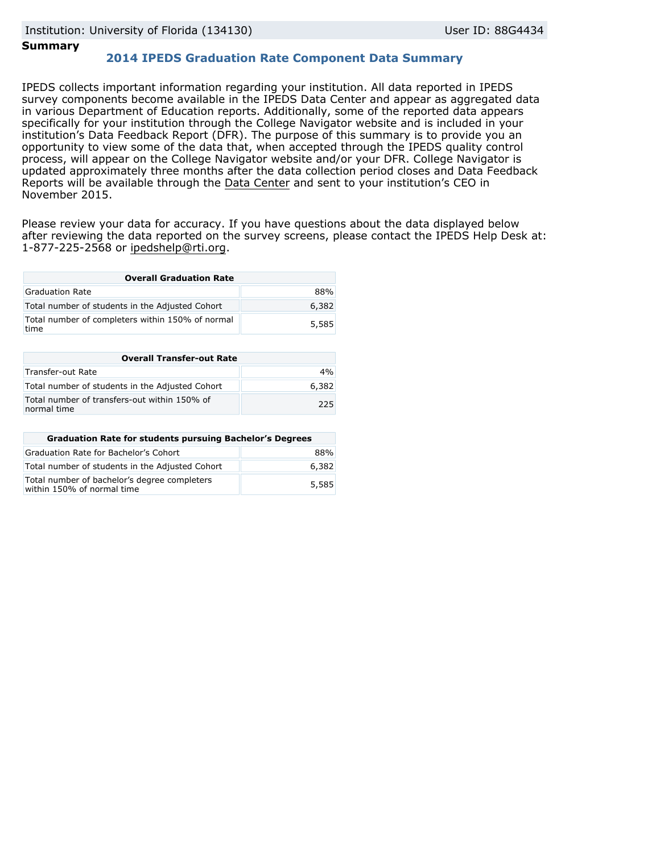### **Summary**

## **2014 IPEDS Graduation Rate Component Data Summary**

IPEDS collects important information regarding your institution. All data reported in IPEDS survey components become available in the IPEDS Data Center and appear as aggregated data in various Department of Education reports. Additionally, some of the reported data appears specifically for your institution through the College Navigator website and is included in your institution's Data Feedback Report (DFR). The purpose of this summary is to provide you an opportunity to view some of the data that, when accepted through the IPEDS quality control process, will appear on the College Navigator website and/or your DFR. College Navigator is updated approximately three months after the data collection period closes and Data Feedback Reports will be available through the [Data Center](http://nces.ed.gov/ipeds/datacenter/) and sent to your institution's CEO in November 2015.

Please review your data for accuracy. If you have questions about the data displayed below after reviewing the data reported on the survey screens, please contact the IPEDS Help Desk at: 1-877-225-2568 or ipedshelp@rti.org.

| <b>Overall Graduation Rate</b>                           |       |  |  |
|----------------------------------------------------------|-------|--|--|
| Graduation Rate                                          | 88%   |  |  |
| Total number of students in the Adjusted Cohort          | 6,382 |  |  |
| Total number of completers within 150% of normal<br>time | 5,585 |  |  |

| <b>Overall Transfer-out Rate</b>                            |       |  |  |
|-------------------------------------------------------------|-------|--|--|
| Transfer-out Rate                                           | 4%    |  |  |
| Total number of students in the Adjusted Cohort             | 6,382 |  |  |
| Total number of transfers-out within 150% of<br>normal time | 225   |  |  |

| <b>Graduation Rate for students pursuing Bachelor's Degrees</b>            |       |  |  |
|----------------------------------------------------------------------------|-------|--|--|
| Graduation Rate for Bachelor's Cohort                                      | 88%   |  |  |
| Total number of students in the Adjusted Cohort                            | 6,382 |  |  |
| Total number of bachelor's degree completers<br>within 150% of normal time | 5,585 |  |  |